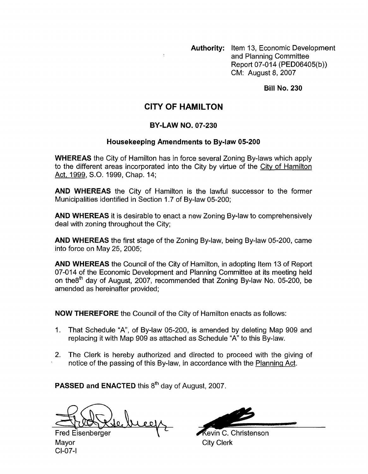**Authority:** Item 13, Economic Development and Planning Committee Report 07-014 (PED06405(b)) CM: August 8,2007

**Bill No. 230** 

## **CITY OF HAMILTON**

## **BY-LAW NO. 07-230**

## **Housekeeping Amendments to Bylaw 05-200**

**WHEREAS** the City of Hamilton has in force several Zoning By-laws which apply to the different areas incorporated into the City by virtue of the City of Hamilton Act, 1999, S.O. 1999, Chap. 14;

**AND WHEREAS** the City of Hamilton is the lawful successor to the former Municipalities identified in Section 1.7 of By-law 05-200;

**AND WHEREAS** it is desirable to enact a new Zoning By-law to comprehensively deal with zoning throughout the City;

**AND WHEREAS** the first stage of the Zoning By-law, being By-law 05-200, came into force on May 25, 2005;

**AND WHEREAS** the Council of the City of Hamilton, in adopting Item 13 of Report 07-014 of the Economic Development and Planning Committee at its meeting held on the8<sup>th</sup> day of August, 2007, recommended that Zoning By-law No. 05-200, be amended as hereinafter provided; **1** By-law, being By-law 05-200, came<br>
amilton, in adopting Item 13 of Report<br>
anning Committee at its meeting held<br>
d that Zoning By-law No. 05-200, be<br>
f Hamilton enacts as follows:<br>
amended by deleting Map 909 and<br>
Sche

**NOW THEREFORE** the Council of the City of Hamilton enacts as follows:

- 1. That Schedule "A", of By-law 05-200, is amended by deleting Map 909 and replacing it with Map 909 as attached as Schedule "A" to this By-law.
- 2. The Clerk is hereby authorized and directed to proceed with the giving of notice of the passing of this By-law, in accordance with the Planning Act.

**PASSED and <b>ENACTED** this 8<sup>th</sup> day of August, 2007.

breefs

**Fred Eisenberger** Mayor CI-07-1

City Clerk